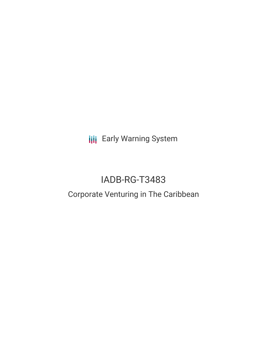**III** Early Warning System

# IADB-RG-T3483

# Corporate Venturing in The Caribbean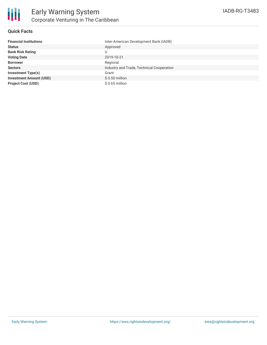

## **Quick Facts**

| <b>Financial Institutions</b>  | Inter-American Development Bank (IADB)    |
|--------------------------------|-------------------------------------------|
| <b>Status</b>                  | Approved                                  |
| <b>Bank Risk Rating</b>        |                                           |
| <b>Voting Date</b>             | 2019-10-21                                |
| <b>Borrower</b>                | Regional                                  |
| <b>Sectors</b>                 | Industry and Trade, Technical Cooperation |
| <b>Investment Type(s)</b>      | Grant                                     |
| <b>Investment Amount (USD)</b> | $$0.50$ million                           |
| <b>Project Cost (USD)</b>      | $$0.65$ million                           |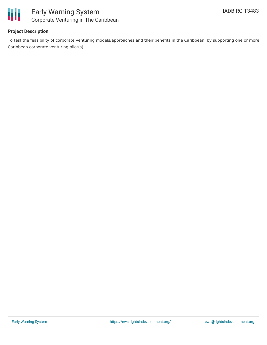

## **Project Description**

To test the feasibility of corporate venturing models/approaches and their benefits in the Caribbean, by supporting one or more Caribbean corporate venturing pilot(s).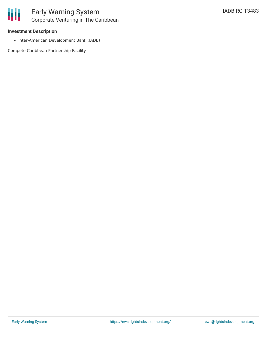#### **Investment Description**

• Inter-American Development Bank (IADB)

Compete Caribbean Partnership Facility